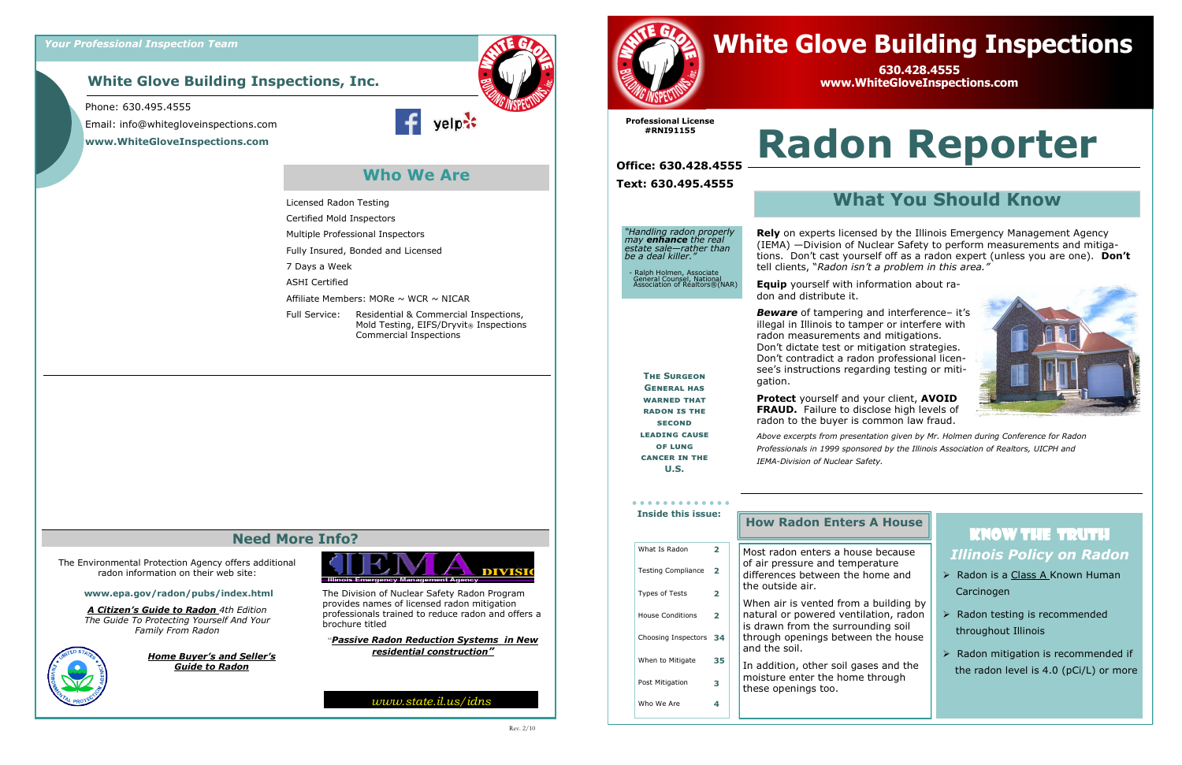### **White Glove Building Inspections, Inc.**

The Environmental Protection Agency offers additional radon information on their web site:

#### **www.epa.gov/radon/pubs/index.html**

*A Citizen's Guide to Radon 4th Edition The Guide To Protecting Yourself And Your Family From Radon*



*Home Buyer's and Seller's Guide to Radon*



### **Need More Info?**

The Division of Nuclear Safety Radon Program provides names of licensed radon mitigation professionals trained to reduce radon and offers a brochure titled

"*Passive Radon Reduction Systems in New residential construction"*

**Who We Are**

#### Phone: 630.495.4555

Email: info@whitegloveinspections.com **www.WhiteGloveInspections.com**





*www.state.il.us/idns*

Licensed Radon Testing Certified Mold Inspectors

Multiple Professional Inspectors Fully Insured, Bonded and Licensed

Affiliate Members: MORe  $\sim$  WCR  $\sim$  NICAR

7 Days a Week ASHI Certified

Full Service: Residential & Commercial Inspections,

Commercial Inspections

Mold Testing, EIFS/Dryvit<sup>®</sup> Inspections

# **Radon Reporter**

## Know the Truth *Illinois Policy on Radon*

- ➢ Radon is a Class A Known Human Carcinogen
- ➢ Radon testing is recommended throughout Illinois
- ➢ Radon mitigation is recommended if the radon level is 4.0 (pCi/L) or more

*"Handling radon properly may enhance the real estate sale—rather than* 

*be a deal killer."*

- Ralph Holmen, Associate General Counsel, National Association of Realtors®(NAR)

## **What You Should Know**

**Rely** on experts licensed by the Illinois Emergency Management Agency (IEMA) —Division of Nuclear Safety to perform measurements and mitigations. Don't cast yourself off as a radon expert (unless you are one). **Don't**  tell clients, "*Radon isn't a problem in this area."*



#### **A House**

e because erature home and

a building by ation, radon nding soil n the house

ies and the through

## **Equip** yourself with information about radon and distribute it.

*Beware* of tampering and interference– it's illegal in Illinois to tamper or interfere with radon measurements and mitigations. Don't dictate test or mitigation strategies. Don't contradict a radon professional licensee's instructions regarding testing or mitigation.

|  | <b>Inside this issue:</b> |                          |  | <b>How Radon Enters</b>                                                              |
|--|---------------------------|--------------------------|--|--------------------------------------------------------------------------------------|
|  | What Is Radon             | $\overline{\mathbf{2}}$  |  | Most radon enters a hous                                                             |
|  | <b>Testing Compliance</b> | $\overline{\phantom{a}}$ |  | of air pressure and tempe<br>differences between the h                               |
|  | <b>Types of Tests</b>     | 2                        |  | the outside air.                                                                     |
|  | <b>House Conditions</b>   | 2                        |  | When air is vented from a<br>natural or powered ventila<br>is drawn from the surrour |
|  | Choosing Inspectors 34    |                          |  | through openings betwee<br>and the soil.                                             |
|  | When to Mitigate          | 35                       |  | In addition, other soil gas                                                          |
|  | Post Mitigation           | 3                        |  | moisture enter the home<br>these openings too.                                       |
|  | Who We Are                | 4                        |  |                                                                                      |

**Protect** yourself and your client, **AVOID FRAUD.** Failure to disclose high levels of radon to the buyer is common law fraud.

*Above excerpts from presentation given by Mr. Holmen during Conference for Radon Professionals in 1999 sponsored by the Illinois Association of Realtors, UICPH and IEMA-Division of Nuclear Safety.*

**The Surgeon General has warned that RADON IS THE second leading cause of lung cancer in the U.S.**

**Professional License #RNI91155**

**Office: 630.428.4555 Text: 630.495.4555**

## **White Glove Building Inspections**

**630.428.4555 www.WhiteGloveInspections.com**